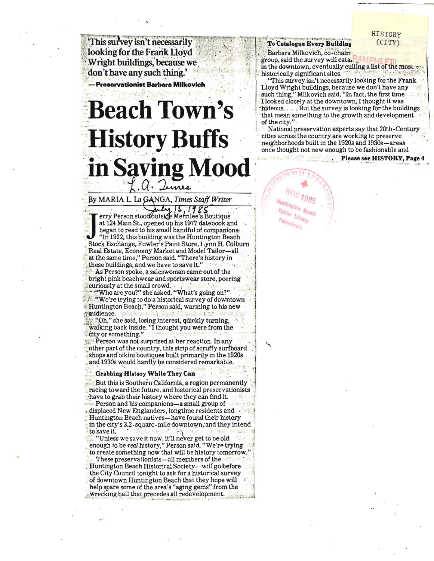This survey isn't necessarily looking for the Frank Lloyd Wright buildings, because we don't have any such thing.'

-Preservationist Barbara Milkovich

## **Beach Town's History Buffs** in Saving Mood

By MARIA L. La GANGA, Times Staff Writer  $mly, 15, 1985$ 

erry Person stood outside Merrilee's Boutique at 124 Main St., opened up his 1977 datebook and began to read to his small handful of companions. "In 1922, this building was the Huntington Beach Stock Exchange, Fowler's Paint Store, Lynn H. Colburn Real Estate, Economy Market and Model Tailor-all at the same time," Person said. "There's history in these buildings, and we have to save it."

As Person spoke, a saleswoman came out of the bright pink beachwear and sportswear store, peering curiously at the small crowd.

"Who are you?" she asked. "What's going on?" "We're trying to do a historical survey of downtown Huntington Beach," Person said, warming to his new audience.

"Oh," she said, losing interest, quickly turning, walking back inside. "I thought you were from the city or something."

Person was not surprised at her reaction. In any other part of the country, this strip of scruffy surfboard shops and bikini boutiques built primarily in the 1920s and 1930s would hardly be considered remarkable.

## Grabbing History While They Can

But this is Southern California, a region permanently racing toward the future, and historical preservationists have to grab their history where they can find it. Person and his companions-a small group of displaced New Englanders, longtime residents and Huntington Beach natives—have found their history in the city's 3.2-square-mile downtown, and they intend to save it.

"Unless we save it now, it'll never get to be old<br>enough to be real history," Person said. "We're trying to create something now that will be history tomorrow."

These preservationists—all members of the Huntington Beach Historical Society-will go before the City Council tonight to ask for a historical survey of downtown Huntington Beach that they hope will help spare some of the area's "aging gems" from the . wrecking ball that precedes all redevelopment.

To Catalogue Every Building

Barbara Milkovich, co-chairi group, said the survey will catal. in the downtown, eventually culling a list of the most v historically significant sites.

"This survey isn't necessarily looking for the Frank Lloyd Wright buildings, because we don't have any such thing," Milkovich said. "In fact, the first time I looked closely at the downtown, I thought it was hideous... But the survey is looking for the buildings that mean something to the growth and development of the city."

National preservation experts say that 20th-Century cities across the country are working to preserve neighborhoods built in the 1920s and 1930s-areas once thought not new enough to be fashionable and

Please see HISTORY, Page 4



**HISTORY**  $(CITY)$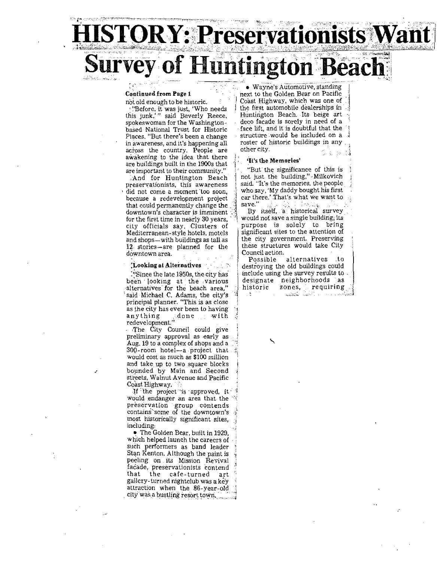# **'OR Y: Preservai** IFVey of Huntington Beach

'I

 $\frac{1}{2}$ 

''Before, it was just, 'Who needs | the first automobile dealerships in this junk,'" said Beverly Reece, Huntington Beach. Its beige art spokeswoman for the Washington deco facade is sorely in need of a based National Trust for Historic Places. "But there's been a change in awareness, and it's happening all roster of hacross the country. People are other city. awakening to the idea that there **It's the Memories'** are buildings built in the 1900s that are important to their community."  $\|\cdot\|$  "But'the significance of this is

preservationists, this awareness . said. "It's the memories, the people did not come a moment too soon, who say, 'My daddy bought his first because a redevelopment project ... car there.' That's what we want to because a redevelopment project  $\frac{1}{2}$  car there is a redevelopment v change the  $\frac{1}{2}$  save." that could permanently change the  $\frac{1}{2}$  downtown's character is imminent. for the first time in nearly 30 years,  $\frac{1}{2}$  would not save a single building; its<br>city officials say. Clusters of purpose is solely to bring city officials say, Clusters of purpose is solely to bring<br>Mediterranean-style hotels, motels significant sites to the attention of Mediterranean-style hotels, motels and shops—with buildings as tall as  $\begin{cases}$  the city government. Preserving 12. stories—are planned for the these structures would take City 12, stories-are planned for the these structures downtown area. downtown area.<br> **Example 2** Possible alternatives to **Possible 2** Possible alternatives to

been looking at' the various alternatives for the beach area," 'said Michael C. Adams, the city's principal planner. "This is as close as the city has ever been to having<br>anything  $\frac{1}{2}$  done  $\frac{1}{2}$  with done with redevelopment."

,The City Council could give preliminary approval as early as Aug. 19 to a complex of shops and a  $300$ -room hotel-a project that would COSt as much as \$100 million and take up to two square blocks bounded by Main and Second streets, Walnut Avenue and Pacific Coast Highway.

If the project is approved, it would endanger an area that the preservation group contends **contains" some of the downtown's** 1 most historically significant sites, inCluding:

• The Golden Bear, built in 1929, which helped launch the careers of such performers as band leader Stan Kenton, Although the paint is peeling on its Mission Revival facade, preservationists contend<br>that the cafe-turned art that the cafe-turned gallery-tUrned nightclub was a key attraction when the 86-year-old , city was a bustling resort town.

not old enough to be historic. I Coast Highway, which was one of <br>"Before, it was just. 'Who needs the first automobile dealerships in deco facade is sorely in need of a<br>face lift, and it is doubtful that the structure would be included on a roster of historic buildings in any

And for Huntington Beach not just the building," Milkovich reservationists, this awareness said. "It's the memories, the people

By itself, a historical survey<br>would not save a single building; its

**Looking at Alternatives**  $\Box$  is  $\mathbb{R}$  destroying the old buildings could : Since the late 1950s, the city has | include using the survey results to designate neighborhoods as<br>historic zones, requiring **historic zones, requiring**   $\frac{1}{2}$ Later County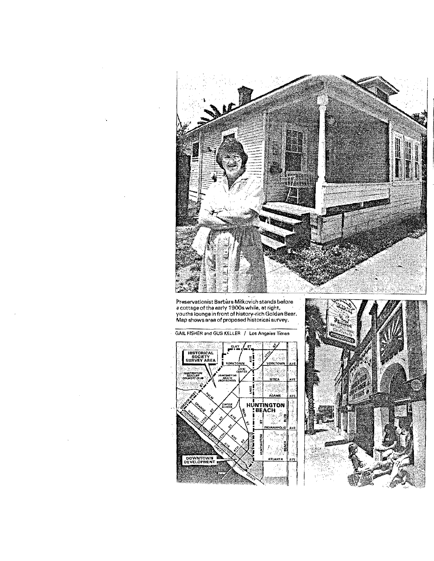

Preservationist Barbara Milkovich stands before<br>a cottage of the early 1900s while, at right,<br>youths lounge in front of history-rich Golden Bear,<br>Map shows area of proposed historical survey,

GAIL FISHER and GUS KELLER / Los Angeles Times



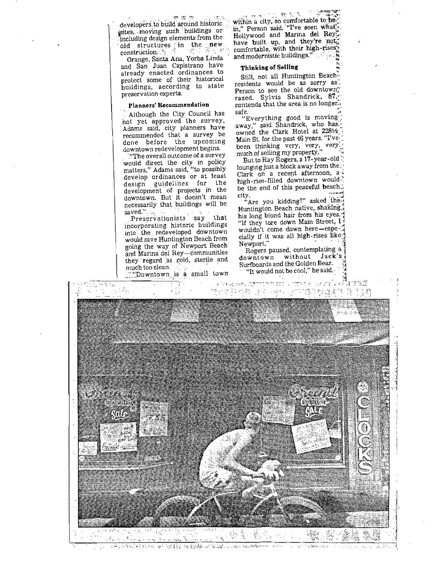developers to build around historic ~ites, . moving such: buildings or including design elements from the . old structures -**in** the ~ **new**  construction. :;:~ '. .... - <sup>~</sup>,;.

Orange, Santa Ana, Yorba Linda and San Juan Capistrano have aiready enacted ordinances to protect some of their historical buildings, according to state preservation experts.

## Planners' Recommendation

Although the City Council has not yet approved the survey. Adams said, city planners have recommended that a survey be done before the upcoming downtown redevelopment begins.

 $\lbrack$  . The overall outcome of a survey would direct the city in policy matters," Adams said, "to possibly develop ordinances or at least design guidelines for the development of projects in the downtown, But it doesn't mean necessarily that buildings will be<br>saved,". ...

saved."<br>Preservationists say that incorporating historic buildings into the redeveloped downtown would save Huntington Beach from going the way of Newport Beach and Marina del Rey-communities they 'regard 'as cold, sterile and much too clean.

~-"~\_':Do~ntown Js ~ small town

within a city, so comfortable to be," in," Person said. "I've seen what" Hollywood and Marina del Rey<sup>on</sup>,<br>have built up, and they're not, have built up, and they're  $\text{ind}_{\text{co}}$ <br>comfortable, with their high-rises $\frac{V_4}{V_2}$ . and modernistic buildings." .. ~

### Thinking of Selling ::::

Still, not all Huntington Beach. residents would be as sorry as. Person to see the old downtown" razed. Sylvia Shandrick, 87,-' contends that the area is no longer. safe. 5.<br>\*Everything good is moving:

away," said Shandrick, who has. owned the Clark Hotel at 2281/2 Main St. for the past 46 years. "I'vebeen thinking very, very, very much of selling my property.'

But to Ray Rogers, a 17-year-old:: lounging just a block away from the Clark on a recent afternoon,  $a^T$ high-rise-filled downtown would: be the end of this peaceful beach.) city.

. "Are you kidding?" asked they Huntington Beach native, shaking<sup>\*</sup><br>his long blond hair from his eyes.<sup>-9</sup> "If they tore down Main Street,  $1\frac{1}{2}$  wouldn't come down here—espe- $3$ wouldn't come down here-espe- $\frac{1}{2}$  cially if it was all high-rises like.

Rogers paused, contemplating a 1 downtown without Jack's Surfboards and the Golden Beat, \\ "It would not be cool," he said. $\cdot$